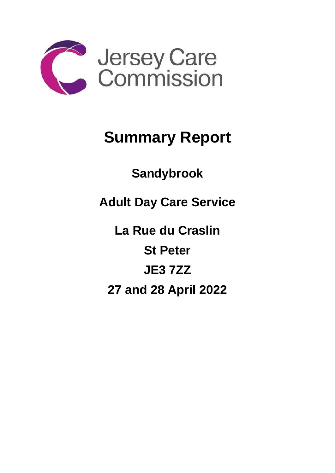

## **Summary Report**

**Sandybrook** 

**Adult Day Care Service**

**La Rue du Craslin St Peter JE3 7ZZ 27 and 28 April 2022**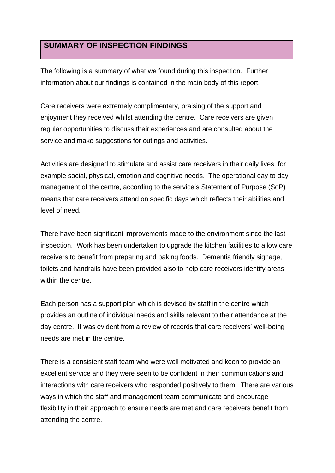## **SUMMARY OF INSPECTION FINDINGS**

The following is a summary of what we found during this inspection. Further information about our findings is contained in the main body of this report.

Care receivers were extremely complimentary, praising of the support and enjoyment they received whilst attending the centre. Care receivers are given regular opportunities to discuss their experiences and are consulted about the service and make suggestions for outings and activities.

Activities are designed to stimulate and assist care receivers in their daily lives, for example social, physical, emotion and cognitive needs. The operational day to day management of the centre, according to the service's Statement of Purpose (SoP) means that care receivers attend on specific days which reflects their abilities and level of need.

There have been significant improvements made to the environment since the last inspection. Work has been undertaken to upgrade the kitchen facilities to allow care receivers to benefit from preparing and baking foods. Dementia friendly signage, toilets and handrails have been provided also to help care receivers identify areas within the centre.

Each person has a support plan which is devised by staff in the centre which provides an outline of individual needs and skills relevant to their attendance at the day centre. It was evident from a review of records that care receivers' well-being needs are met in the centre.

There is a consistent staff team who were well motivated and keen to provide an excellent service and they were seen to be confident in their communications and interactions with care receivers who responded positively to them. There are various ways in which the staff and management team communicate and encourage flexibility in their approach to ensure needs are met and care receivers benefit from attending the centre.